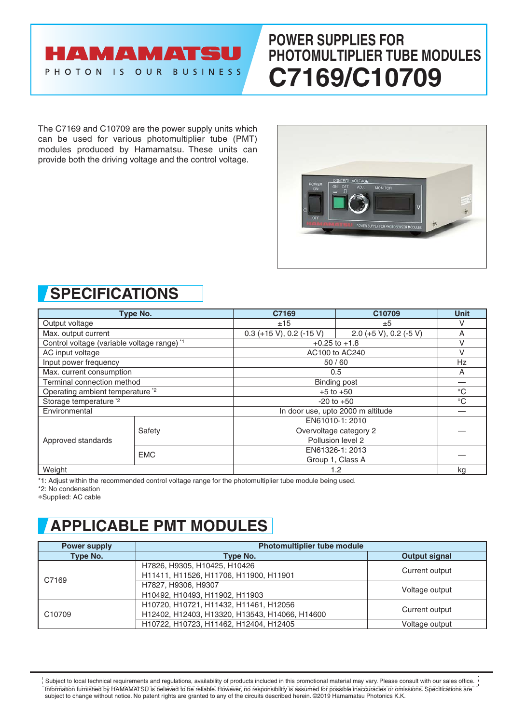### **AMAMATSU** PHOTON IS OUR BUSINESS

# **POWER SUPPLIES FOR PHOTOMULTIPLIER TUBE MODULES C7169/C10709**

The C7169 and C10709 are the power supply units which can be used for various photomultiplier tube (PMT) modules produced by Hamamatsu. These units can provide both the driving voltage and the control voltage.



### **SPECIFICATIONS**

| Type No.                                               |            | C7169                             | C10709                 | <b>Unit</b>  |
|--------------------------------------------------------|------------|-----------------------------------|------------------------|--------------|
| Output voltage                                         |            | ±15                               | ±5                     | V            |
| Max. output current                                    |            | $0.3 (+15 V), 0.2 (-15 V)$        | 2.0 (+5 V), 0.2 (-5 V) | Α            |
| Control voltage (variable voltage range) <sup>*1</sup> |            | $+0.25$ to $+1.8$                 |                        | ٧            |
| AC input voltage                                       |            | AC100 to AC240                    |                        | v            |
| Input power frequency                                  |            | 50/60                             |                        | Hz           |
| Max. current consumption                               |            | 0.5                               |                        | Α            |
| Terminal connection method                             |            | <b>Binding post</b>               |                        |              |
| Operating ambient temperature <sup>*2</sup>            |            | $+5$ to $+50$                     |                        | $^{\circ}$ C |
| Storage temperature <sup>*2</sup>                      |            | $-20$ to $+50$                    |                        | $^{\circ}C$  |
| Environmental                                          |            | In door use, upto 2000 m altitude |                        |              |
| Approved standards                                     |            | EN61010-1: 2010                   |                        |              |
|                                                        | Safety     | Overvoltage category 2            |                        |              |
|                                                        |            | Pollusion level 2                 |                        |              |
|                                                        | <b>EMC</b> | EN61326-1: 2013                   |                        |              |
|                                                        |            |                                   | Group 1, Class A       |              |
| Weight                                                 |            | 1.2                               |                        | kg           |

\*1: Adjust within the recommended control voltage range for the photomultiplier tube module being used.

\*2: No condensation

∗Supplied: AC cable

# **APPLICABLE PMT MODULES**

| <b>Power supply</b> | <b>Photomultiplier tube module</b>             |                |  |
|---------------------|------------------------------------------------|----------------|--|
| Type No.            | Type No.                                       |                |  |
| C7169               | H7826, H9305, H10425, H10426                   | Current output |  |
|                     | H11411, H11526, H11706, H11900, H11901         |                |  |
|                     | H7827, H9306, H9307                            | Voltage output |  |
|                     | H10492, H10493, H11902, H11903                 |                |  |
| C <sub>10709</sub>  | H10720, H10721, H11432, H11461, H12056         |                |  |
|                     | H12402, H12403, H13320, H13543, H14066, H14600 | Current output |  |
|                     | H10722, H10723, H11462, H12404, H12405         | Voltage output |  |

Information furnished by HAMAMATSU is believed to be reliable. However, no responsibility is assumed for possible inaccuracies or omissions. Specifications are subject to change without notice. No patent rights are granted to any of the circuits described herein. ©2019 Hamamatsu Photonics K.K. Subject to local technical requirements and regulations, availability of products included in this promotional material may vary. Please consult with our sales office.